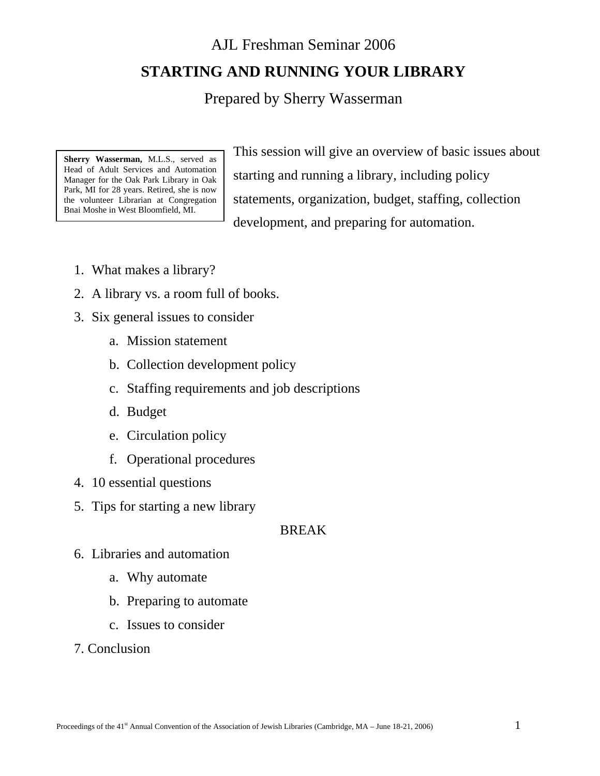AJL Freshman Seminar 2006 **STARTING AND RUNNING YOUR LIBRARY** 

# Prepared by Sherry Wasserman

**Sherry Wasserman,** M.L.S., served as Head of Adult Services and Automation Manager for the Oak Park Library in Oak Park, MI for 28 years. Retired, she is now the volunteer Librarian at Congregation Bnai Moshe in West Bloomfield, MI.

This session will give an overview of basic issues about starting and running a library, including policy statements, organization, budget, staffing, collection development, and preparing for automation.

- 1. What makes a library?
- 2. A library vs. a room full of books.
- 3. Six general issues to consider
	- a. Mission statement
	- b. Collection development policy
	- c. Staffing requirements and job descriptions
	- d. Budget
	- e. Circulation policy
	- f. Operational procedures
- 4. 10 essential questions
- 5. Tips for starting a new library

# BREAK

- 6. Libraries and automation
	- a. Why automate
	- b. Preparing to automate
	- c. Issues to consider
- 7. Conclusion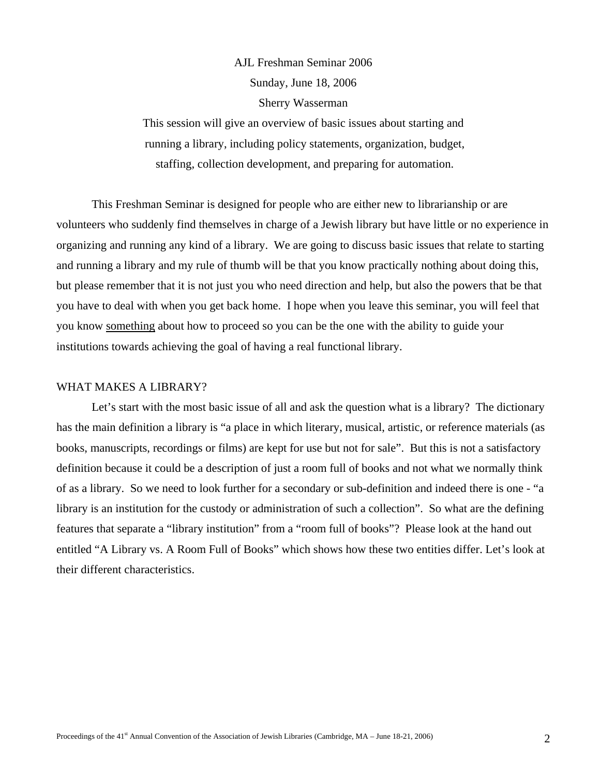# AJL Freshman Seminar 2006 Sunday, June 18, 2006 Sherry Wasserman

This session will give an overview of basic issues about starting and running a library, including policy statements, organization, budget, staffing, collection development, and preparing for automation.

This Freshman Seminar is designed for people who are either new to librarianship or are volunteers who suddenly find themselves in charge of a Jewish library but have little or no experience in organizing and running any kind of a library. We are going to discuss basic issues that relate to starting and running a library and my rule of thumb will be that you know practically nothing about doing this, but please remember that it is not just you who need direction and help, but also the powers that be that you have to deal with when you get back home. I hope when you leave this seminar, you will feel that you know something about how to proceed so you can be the one with the ability to guide your institutions towards achieving the goal of having a real functional library.

#### WHAT MAKES A LIBRARY?

Let's start with the most basic issue of all and ask the question what is a library? The dictionary has the main definition a library is "a place in which literary, musical, artistic, or reference materials (as books, manuscripts, recordings or films) are kept for use but not for sale". But this is not a satisfactory definition because it could be a description of just a room full of books and not what we normally think of as a library. So we need to look further for a secondary or sub-definition and indeed there is one - "a library is an institution for the custody or administration of such a collection". So what are the defining features that separate a "library institution" from a "room full of books"? Please look at the hand out entitled "A Library vs. A Room Full of Books" which shows how these two entities differ. Let's look at their different characteristics.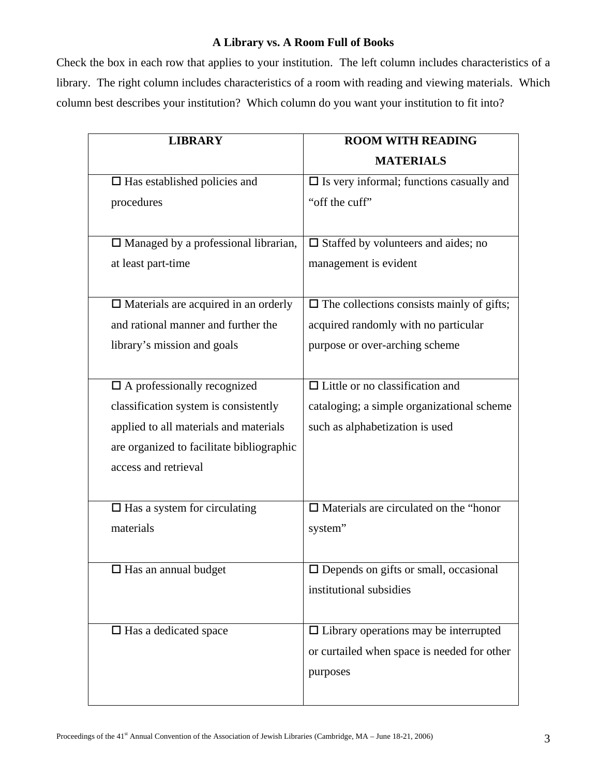# **A Library vs. A Room Full of Books**

Check the box in each row that applies to your institution. The left column includes characteristics of a library. The right column includes characteristics of a room with reading and viewing materials. Which column best describes your institution? Which column do you want your institution to fit into?

| <b>LIBRARY</b>                              | <b>ROOM WITH READING</b>                           |
|---------------------------------------------|----------------------------------------------------|
|                                             | <b>MATERIALS</b>                                   |
| $\Box$ Has established policies and         | $\square$ Is very informal; functions casually and |
| procedures                                  | "off the cuff"                                     |
|                                             |                                                    |
| $\Box$ Managed by a professional librarian, | $\Box$ Staffed by volunteers and aides; no         |
| at least part-time                          | management is evident                              |
|                                             |                                                    |
| $\Box$ Materials are acquired in an orderly | $\Box$ The collections consists mainly of gifts;   |
| and rational manner and further the         | acquired randomly with no particular               |
| library's mission and goals                 | purpose or over-arching scheme                     |
|                                             |                                                    |
| $\square$ A professionally recognized       | $\Box$ Little or no classification and             |
| classification system is consistently       | cataloging; a simple organizational scheme         |
| applied to all materials and materials      | such as alphabetization is used                    |
| are organized to facilitate bibliographic   |                                                    |
| access and retrieval                        |                                                    |
|                                             |                                                    |
| $\Box$ Has a system for circulating         | $\Box$ Materials are circulated on the "honor      |
| materials                                   | system"                                            |
|                                             |                                                    |
| $\Box$ Has an annual budget                 | $\square$ Depends on gifts or small, occasional    |
|                                             | institutional subsidies                            |
|                                             |                                                    |
| $\Box$ Has a dedicated space                | $\Box$ Library operations may be interrupted       |
|                                             | or curtailed when space is needed for other        |
|                                             | purposes                                           |
|                                             |                                                    |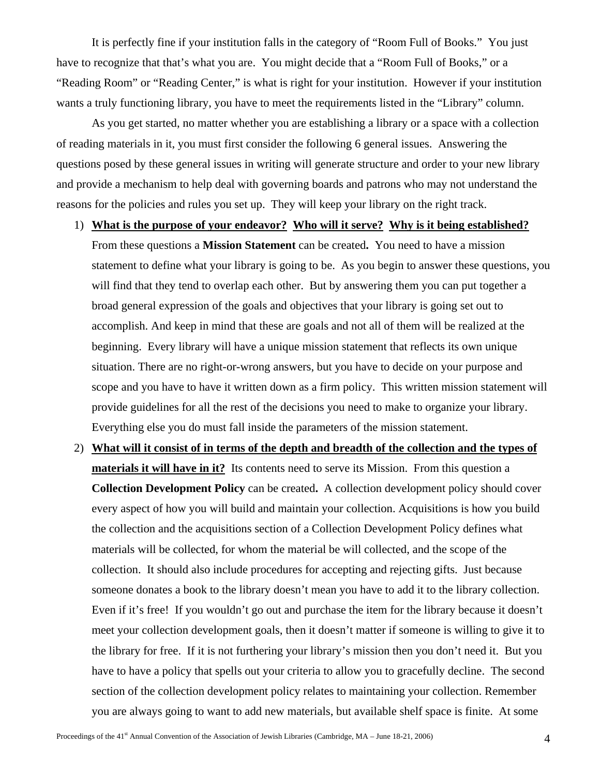It is perfectly fine if your institution falls in the category of "Room Full of Books." You just have to recognize that that's what you are. You might decide that a "Room Full of Books," or a "Reading Room" or "Reading Center," is what is right for your institution. However if your institution wants a truly functioning library, you have to meet the requirements listed in the "Library" column.

As you get started, no matter whether you are establishing a library or a space with a collection of reading materials in it, you must first consider the following 6 general issues. Answering the questions posed by these general issues in writing will generate structure and order to your new library and provide a mechanism to help deal with governing boards and patrons who may not understand the reasons for the policies and rules you set up. They will keep your library on the right track.

#### 1) **What is the purpose of your endeavor? Who will it serve? Why is it being established?**

From these questions a **Mission Statement** can be created**.** You need to have a mission statement to define what your library is going to be. As you begin to answer these questions, you will find that they tend to overlap each other. But by answering them you can put together a broad general expression of the goals and objectives that your library is going set out to accomplish. And keep in mind that these are goals and not all of them will be realized at the beginning. Every library will have a unique mission statement that reflects its own unique situation. There are no right-or-wrong answers, but you have to decide on your purpose and scope and you have to have it written down as a firm policy. This written mission statement will provide guidelines for all the rest of the decisions you need to make to organize your library. Everything else you do must fall inside the parameters of the mission statement.

2) **What will it consist of in terms of the depth and breadth of the collection and the types of materials it will have in it?** Its contents need to serve its Mission. From this question a **Collection Development Policy** can be created**.** A collection development policy should cover every aspect of how you will build and maintain your collection. Acquisitions is how you build the collection and the acquisitions section of a Collection Development Policy defines what materials will be collected, for whom the material be will collected, and the scope of the collection. It should also include procedures for accepting and rejecting gifts. Just because someone donates a book to the library doesn't mean you have to add it to the library collection. Even if it's free! If you wouldn't go out and purchase the item for the library because it doesn't meet your collection development goals, then it doesn't matter if someone is willing to give it to the library for free. If it is not furthering your library's mission then you don't need it. But you have to have a policy that spells out your criteria to allow you to gracefully decline. The second section of the collection development policy relates to maintaining your collection. Remember you are always going to want to add new materials, but available shelf space is finite. At some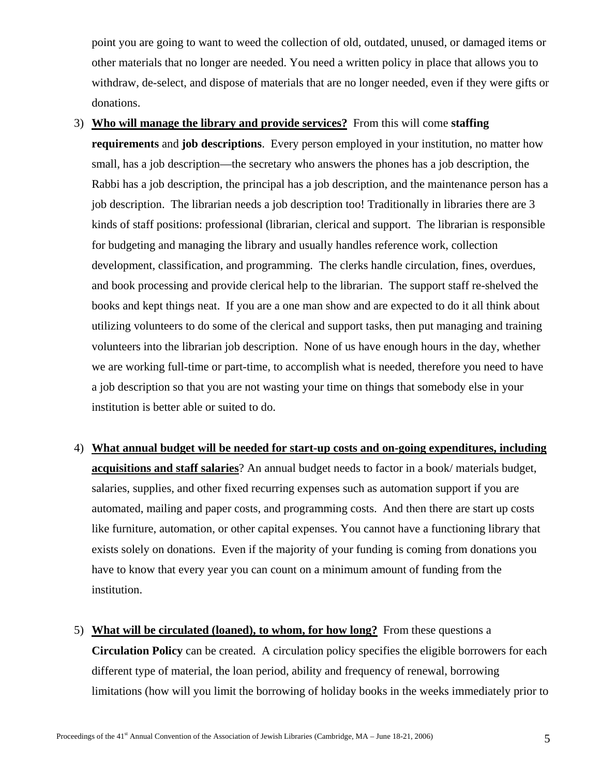point you are going to want to weed the collection of old, outdated, unused, or damaged items or other materials that no longer are needed. You need a written policy in place that allows you to withdraw, de-select, and dispose of materials that are no longer needed, even if they were gifts or donations.

- 3) **Who will manage the library and provide services?** From this will come **staffing requirements** and **job descriptions**. Every person employed in your institution, no matter how small, has a job description—the secretary who answers the phones has a job description, the Rabbi has a job description, the principal has a job description, and the maintenance person has a job description. The librarian needs a job description too! Traditionally in libraries there are 3 kinds of staff positions: professional (librarian, clerical and support. The librarian is responsible for budgeting and managing the library and usually handles reference work, collection development, classification, and programming. The clerks handle circulation, fines, overdues, and book processing and provide clerical help to the librarian. The support staff re-shelved the books and kept things neat. If you are a one man show and are expected to do it all think about utilizing volunteers to do some of the clerical and support tasks, then put managing and training volunteers into the librarian job description. None of us have enough hours in the day, whether we are working full-time or part-time, to accomplish what is needed, therefore you need to have a job description so that you are not wasting your time on things that somebody else in your institution is better able or suited to do.
- 4) **What annual budget will be needed for start-up costs and on-going expenditures, including acquisitions and staff salaries**? An annual budget needs to factor in a book/ materials budget, salaries, supplies, and other fixed recurring expenses such as automation support if you are automated, mailing and paper costs, and programming costs. And then there are start up costs like furniture, automation, or other capital expenses. You cannot have a functioning library that exists solely on donations. Even if the majority of your funding is coming from donations you have to know that every year you can count on a minimum amount of funding from the institution.
- 5) **What will be circulated (loaned), to whom, for how long?** From these questions a **Circulation Policy** can be created. A circulation policy specifies the eligible borrowers for each different type of material, the loan period, ability and frequency of renewal, borrowing limitations (how will you limit the borrowing of holiday books in the weeks immediately prior to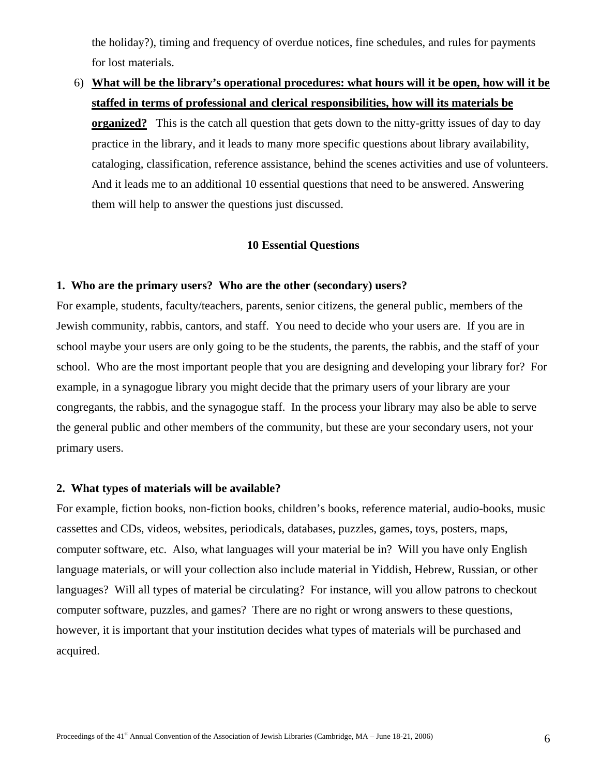the holiday?), timing and frequency of overdue notices, fine schedules, and rules for payments for lost materials.

6) **What will be the library's operational procedures: what hours will it be open, how will it be staffed in terms of professional and clerical responsibilities, how will its materials be organized?** This is the catch all question that gets down to the nitty-gritty issues of day to day practice in the library, and it leads to many more specific questions about library availability, cataloging, classification, reference assistance, behind the scenes activities and use of volunteers. And it leads me to an additional 10 essential questions that need to be answered. Answering them will help to answer the questions just discussed.

# **10 Essential Questions**

## **1. Who are the primary users? Who are the other (secondary) users?**

For example, students, faculty/teachers, parents, senior citizens, the general public, members of the Jewish community, rabbis, cantors, and staff. You need to decide who your users are. If you are in school maybe your users are only going to be the students, the parents, the rabbis, and the staff of your school. Who are the most important people that you are designing and developing your library for? For example, in a synagogue library you might decide that the primary users of your library are your congregants, the rabbis, and the synagogue staff. In the process your library may also be able to serve the general public and other members of the community, but these are your secondary users, not your primary users.

# **2. What types of materials will be available?**

For example, fiction books, non-fiction books, children's books, reference material, audio-books, music cassettes and CDs, videos, websites, periodicals, databases, puzzles, games, toys, posters, maps, computer software, etc. Also, what languages will your material be in? Will you have only English language materials, or will your collection also include material in Yiddish, Hebrew, Russian, or other languages? Will all types of material be circulating? For instance, will you allow patrons to checkout computer software, puzzles, and games? There are no right or wrong answers to these questions, however, it is important that your institution decides what types of materials will be purchased and acquired.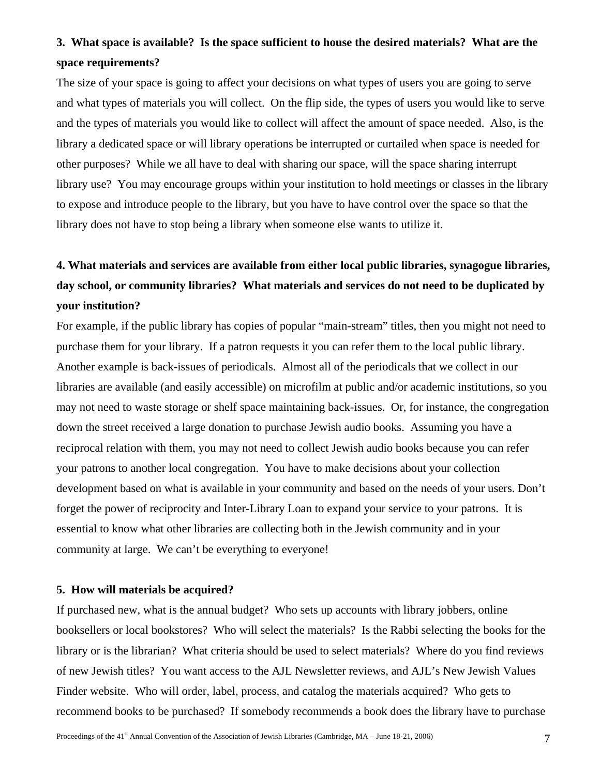# **3. What space is available? Is the space sufficient to house the desired materials? What are the space requirements?**

The size of your space is going to affect your decisions on what types of users you are going to serve and what types of materials you will collect. On the flip side, the types of users you would like to serve and the types of materials you would like to collect will affect the amount of space needed. Also, is the library a dedicated space or will library operations be interrupted or curtailed when space is needed for other purposes? While we all have to deal with sharing our space, will the space sharing interrupt library use? You may encourage groups within your institution to hold meetings or classes in the library to expose and introduce people to the library, but you have to have control over the space so that the library does not have to stop being a library when someone else wants to utilize it.

# **4. What materials and services are available from either local public libraries, synagogue libraries, day school, or community libraries? What materials and services do not need to be duplicated by your institution?**

For example, if the public library has copies of popular "main-stream" titles, then you might not need to purchase them for your library. If a patron requests it you can refer them to the local public library. Another example is back-issues of periodicals. Almost all of the periodicals that we collect in our libraries are available (and easily accessible) on microfilm at public and/or academic institutions, so you may not need to waste storage or shelf space maintaining back-issues. Or, for instance, the congregation down the street received a large donation to purchase Jewish audio books. Assuming you have a reciprocal relation with them, you may not need to collect Jewish audio books because you can refer your patrons to another local congregation. You have to make decisions about your collection development based on what is available in your community and based on the needs of your users. Don't forget the power of reciprocity and Inter-Library Loan to expand your service to your patrons. It is essential to know what other libraries are collecting both in the Jewish community and in your community at large. We can't be everything to everyone!

#### **5. How will materials be acquired?**

If purchased new, what is the annual budget? Who sets up accounts with library jobbers, online booksellers or local bookstores? Who will select the materials? Is the Rabbi selecting the books for the library or is the librarian? What criteria should be used to select materials? Where do you find reviews of new Jewish titles? You want access to the AJL Newsletter reviews, and AJL's New Jewish Values Finder website. Who will order, label, process, and catalog the materials acquired? Who gets to recommend books to be purchased? If somebody recommends a book does the library have to purchase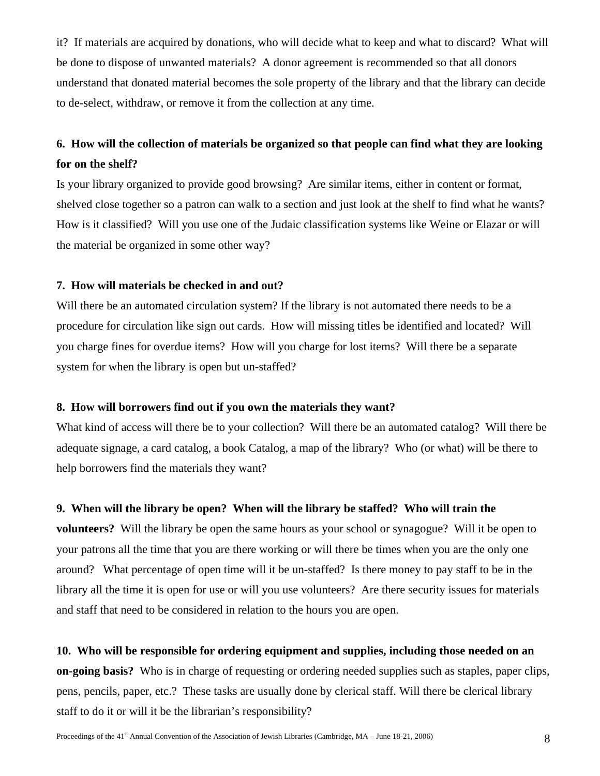it? If materials are acquired by donations, who will decide what to keep and what to discard? What will be done to dispose of unwanted materials? A donor agreement is recommended so that all donors understand that donated material becomes the sole property of the library and that the library can decide to de-select, withdraw, or remove it from the collection at any time.

# **6. How will the collection of materials be organized so that people can find what they are looking for on the shelf?**

Is your library organized to provide good browsing? Are similar items, either in content or format, shelved close together so a patron can walk to a section and just look at the shelf to find what he wants? How is it classified? Will you use one of the Judaic classification systems like Weine or Elazar or will the material be organized in some other way?

# **7. How will materials be checked in and out?**

Will there be an automated circulation system? If the library is not automated there needs to be a procedure for circulation like sign out cards. How will missing titles be identified and located? Will you charge fines for overdue items? How will you charge for lost items? Will there be a separate system for when the library is open but un-staffed?

## **8. How will borrowers find out if you own the materials they want?**

What kind of access will there be to your collection? Will there be an automated catalog? Will there be adequate signage, a card catalog, a book Catalog, a map of the library? Who (or what) will be there to help borrowers find the materials they want?

# **9. When will the library be open? When will the library be staffed? Who will train the**

**volunteers?** Will the library be open the same hours as your school or synagogue? Will it be open to your patrons all the time that you are there working or will there be times when you are the only one around? What percentage of open time will it be un-staffed? Is there money to pay staff to be in the library all the time it is open for use or will you use volunteers? Are there security issues for materials and staff that need to be considered in relation to the hours you are open.

**10. Who will be responsible for ordering equipment and supplies, including those needed on an on-going basis?** Who is in charge of requesting or ordering needed supplies such as staples, paper clips, pens, pencils, paper, etc.? These tasks are usually done by clerical staff. Will there be clerical library staff to do it or will it be the librarian's responsibility?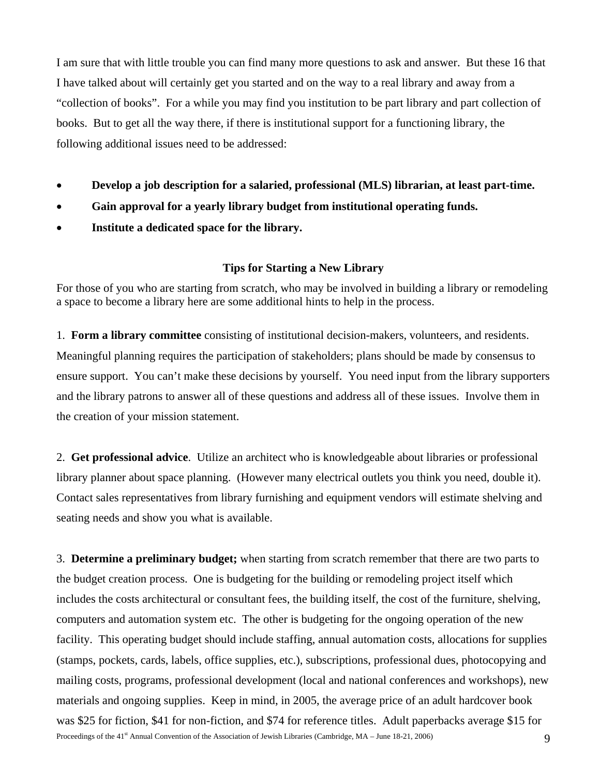I am sure that with little trouble you can find many more questions to ask and answer. But these 16 that I have talked about will certainly get you started and on the way to a real library and away from a "collection of books". For a while you may find you institution to be part library and part collection of books. But to get all the way there, if there is institutional support for a functioning library, the following additional issues need to be addressed:

- **Develop a job description for a salaried, professional (MLS) librarian, at least part-time.**
- **Gain approval for a yearly library budget from institutional operating funds.**
- **Institute a dedicated space for the library.**

#### **Tips for Starting a New Library**

For those of you who are starting from scratch, who may be involved in building a library or remodeling a space to become a library here are some additional hints to help in the process.

1. **Form a library committee** consisting of institutional decision-makers, volunteers, and residents. Meaningful planning requires the participation of stakeholders; plans should be made by consensus to ensure support. You can't make these decisions by yourself. You need input from the library supporters and the library patrons to answer all of these questions and address all of these issues. Involve them in the creation of your mission statement.

2. **Get professional advice**. Utilize an architect who is knowledgeable about libraries or professional library planner about space planning. (However many electrical outlets you think you need, double it). Contact sales representatives from library furnishing and equipment vendors will estimate shelving and seating needs and show you what is available.

Proceedings of the 41<sup>st</sup> Annual Convention of the Association of Jewish Libraries (Cambridge, MA – June 18-21, 2006) 9 3. **Determine a preliminary budget;** when starting from scratch remember that there are two parts to the budget creation process. One is budgeting for the building or remodeling project itself which includes the costs architectural or consultant fees, the building itself, the cost of the furniture, shelving, computers and automation system etc. The other is budgeting for the ongoing operation of the new facility. This operating budget should include staffing, annual automation costs, allocations for supplies (stamps, pockets, cards, labels, office supplies, etc.), subscriptions, professional dues, photocopying and mailing costs, programs, professional development (local and national conferences and workshops), new materials and ongoing supplies. Keep in mind, in 2005, the average price of an adult hardcover book was \$25 for fiction, \$41 for non-fiction, and \$74 for reference titles. Adult paperbacks average \$15 for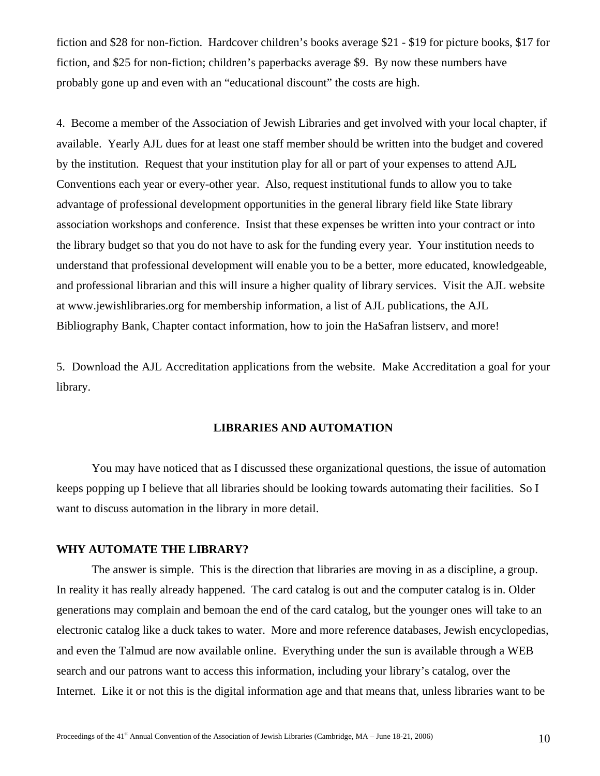fiction and \$28 for non-fiction. Hardcover children's books average \$21 - \$19 for picture books, \$17 for fiction, and \$25 for non-fiction; children's paperbacks average \$9. By now these numbers have probably gone up and even with an "educational discount" the costs are high.

4. Become a member of the Association of Jewish Libraries and get involved with your local chapter, if available. Yearly AJL dues for at least one staff member should be written into the budget and covered by the institution. Request that your institution play for all or part of your expenses to attend AJL Conventions each year or every-other year. Also, request institutional funds to allow you to take advantage of professional development opportunities in the general library field like State library association workshops and conference. Insist that these expenses be written into your contract or into the library budget so that you do not have to ask for the funding every year. Your institution needs to understand that professional development will enable you to be a better, more educated, knowledgeable, and professional librarian and this will insure a higher quality of library services. Visit the AJL website at www.jewishlibraries.org for membership information, a list of AJL publications, the AJL Bibliography Bank, Chapter contact information, how to join the HaSafran listserv, and more!

5. Download the AJL Accreditation applications from the website. Make Accreditation a goal for your library.

#### **LIBRARIES AND AUTOMATION**

 You may have noticed that as I discussed these organizational questions, the issue of automation keeps popping up I believe that all libraries should be looking towards automating their facilities. So I want to discuss automation in the library in more detail.

## **WHY AUTOMATE THE LIBRARY?**

The answer is simple. This is the direction that libraries are moving in as a discipline, a group. In reality it has really already happened. The card catalog is out and the computer catalog is in. Older generations may complain and bemoan the end of the card catalog, but the younger ones will take to an electronic catalog like a duck takes to water. More and more reference databases, Jewish encyclopedias, and even the Talmud are now available online. Everything under the sun is available through a WEB search and our patrons want to access this information, including your library's catalog, over the Internet. Like it or not this is the digital information age and that means that, unless libraries want to be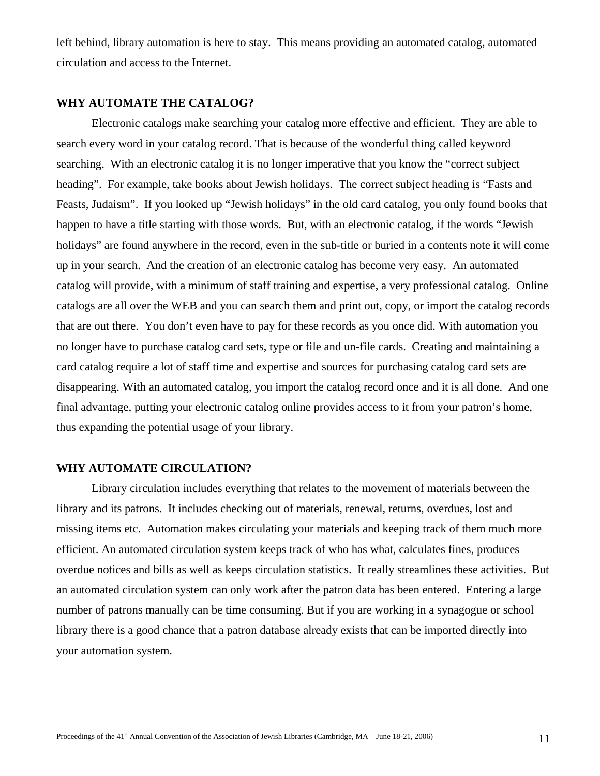left behind, library automation is here to stay. This means providing an automated catalog, automated circulation and access to the Internet.

## **WHY AUTOMATE THE CATALOG?**

Electronic catalogs make searching your catalog more effective and efficient. They are able to search every word in your catalog record. That is because of the wonderful thing called keyword searching. With an electronic catalog it is no longer imperative that you know the "correct subject heading". For example, take books about Jewish holidays. The correct subject heading is "Fasts and Feasts, Judaism". If you looked up "Jewish holidays" in the old card catalog, you only found books that happen to have a title starting with those words. But, with an electronic catalog, if the words "Jewish holidays" are found anywhere in the record, even in the sub-title or buried in a contents note it will come up in your search. And the creation of an electronic catalog has become very easy. An automated catalog will provide, with a minimum of staff training and expertise, a very professional catalog. Online catalogs are all over the WEB and you can search them and print out, copy, or import the catalog records that are out there. You don't even have to pay for these records as you once did. With automation you no longer have to purchase catalog card sets, type or file and un-file cards. Creating and maintaining a card catalog require a lot of staff time and expertise and sources for purchasing catalog card sets are disappearing. With an automated catalog, you import the catalog record once and it is all done. And one final advantage, putting your electronic catalog online provides access to it from your patron's home, thus expanding the potential usage of your library.

#### **WHY AUTOMATE CIRCULATION?**

Library circulation includes everything that relates to the movement of materials between the library and its patrons. It includes checking out of materials, renewal, returns, overdues, lost and missing items etc. Automation makes circulating your materials and keeping track of them much more efficient. An automated circulation system keeps track of who has what, calculates fines, produces overdue notices and bills as well as keeps circulation statistics. It really streamlines these activities. But an automated circulation system can only work after the patron data has been entered. Entering a large number of patrons manually can be time consuming. But if you are working in a synagogue or school library there is a good chance that a patron database already exists that can be imported directly into your automation system.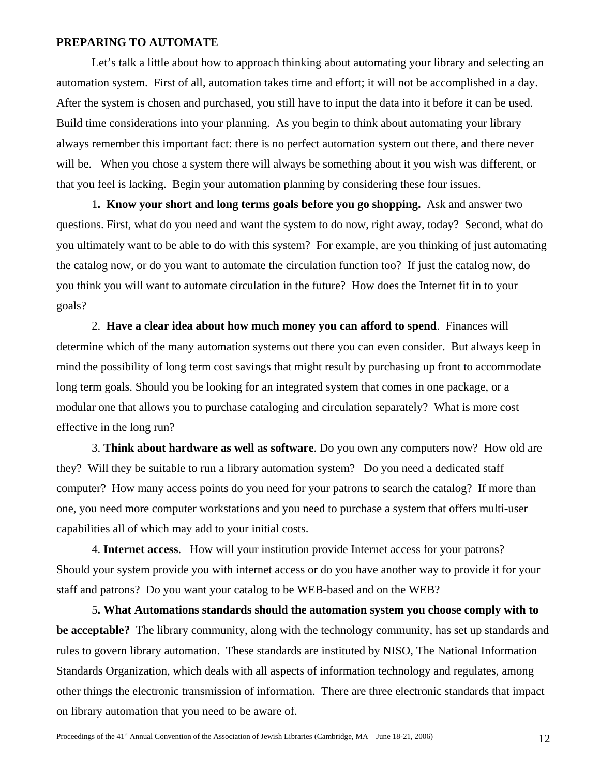#### **PREPARING TO AUTOMATE**

Let's talk a little about how to approach thinking about automating your library and selecting an automation system. First of all, automation takes time and effort; it will not be accomplished in a day. After the system is chosen and purchased, you still have to input the data into it before it can be used. Build time considerations into your planning. As you begin to think about automating your library always remember this important fact: there is no perfect automation system out there, and there never will be. When you chose a system there will always be something about it you wish was different, or that you feel is lacking. Begin your automation planning by considering these four issues.

1**. Know your short and long terms goals before you go shopping.** Ask and answer two questions. First, what do you need and want the system to do now, right away, today? Second, what do you ultimately want to be able to do with this system? For example, are you thinking of just automating the catalog now, or do you want to automate the circulation function too? If just the catalog now, do you think you will want to automate circulation in the future? How does the Internet fit in to your goals?

2. **Have a clear idea about how much money you can afford to spend**. Finances will determine which of the many automation systems out there you can even consider. But always keep in mind the possibility of long term cost savings that might result by purchasing up front to accommodate long term goals. Should you be looking for an integrated system that comes in one package, or a modular one that allows you to purchase cataloging and circulation separately? What is more cost effective in the long run?

3. **Think about hardware as well as software**. Do you own any computers now? How old are they? Will they be suitable to run a library automation system? Do you need a dedicated staff computer? How many access points do you need for your patrons to search the catalog? If more than one, you need more computer workstations and you need to purchase a system that offers multi-user capabilities all of which may add to your initial costs.

4. **Internet access**. How will your institution provide Internet access for your patrons? Should your system provide you with internet access or do you have another way to provide it for your staff and patrons? Do you want your catalog to be WEB-based and on the WEB?

 5**. What Automations standards should the automation system you choose comply with to be acceptable?** The library community, along with the technology community, has set up standards and rules to govern library automation. These standards are instituted by NISO, The National Information Standards Organization, which deals with all aspects of information technology and regulates, among other things the electronic transmission of information. There are three electronic standards that impact on library automation that you need to be aware of.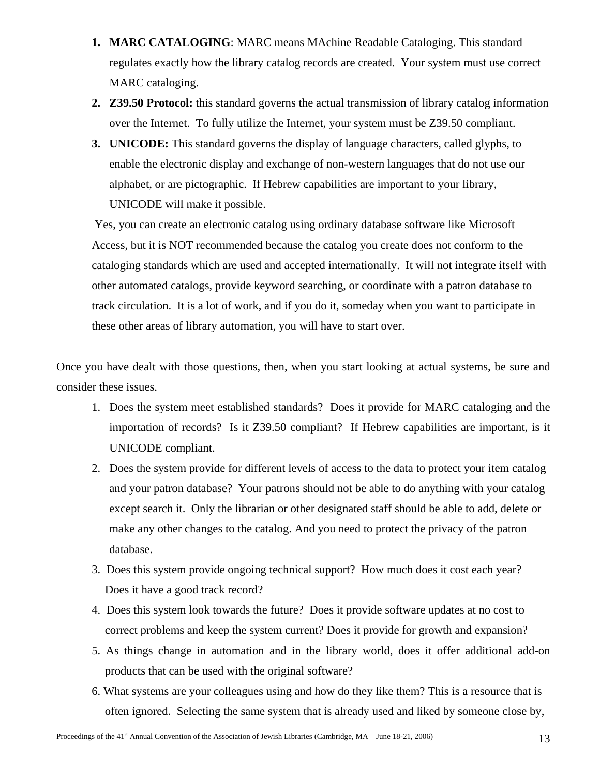- **1. MARC CATALOGING**: MARC means MAchine Readable Cataloging. This standard regulates exactly how the library catalog records are created. Your system must use correct MARC cataloging.
- **2. Z39.50 Protocol:** this standard governs the actual transmission of library catalog information over the Internet. To fully utilize the Internet, your system must be Z39.50 compliant.
- **3. UNICODE:** This standard governs the display of language characters, called glyphs, to enable the electronic display and exchange of non-western languages that do not use our alphabet, or are pictographic. If Hebrew capabilities are important to your library, UNICODE will make it possible.

 Yes, you can create an electronic catalog using ordinary database software like Microsoft Access, but it is NOT recommended because the catalog you create does not conform to the cataloging standards which are used and accepted internationally. It will not integrate itself with other automated catalogs, provide keyword searching, or coordinate with a patron database to track circulation. It is a lot of work, and if you do it, someday when you want to participate in these other areas of library automation, you will have to start over.

Once you have dealt with those questions, then, when you start looking at actual systems, be sure and consider these issues.

- 1. Does the system meet established standards? Does it provide for MARC cataloging and the importation of records? Is it Z39.50 compliant? If Hebrew capabilities are important, is it UNICODE compliant.
- 2. Does the system provide for different levels of access to the data to protect your item catalog and your patron database? Your patrons should not be able to do anything with your catalog except search it. Only the librarian or other designated staff should be able to add, delete or make any other changes to the catalog. And you need to protect the privacy of the patron database.
- 3. Does this system provide ongoing technical support? How much does it cost each year? Does it have a good track record?
- 4. Does this system look towards the future? Does it provide software updates at no cost to correct problems and keep the system current? Does it provide for growth and expansion?
- 5. As things change in automation and in the library world, does it offer additional add-on products that can be used with the original software?
- 6. What systems are your colleagues using and how do they like them? This is a resource that is often ignored. Selecting the same system that is already used and liked by someone close by,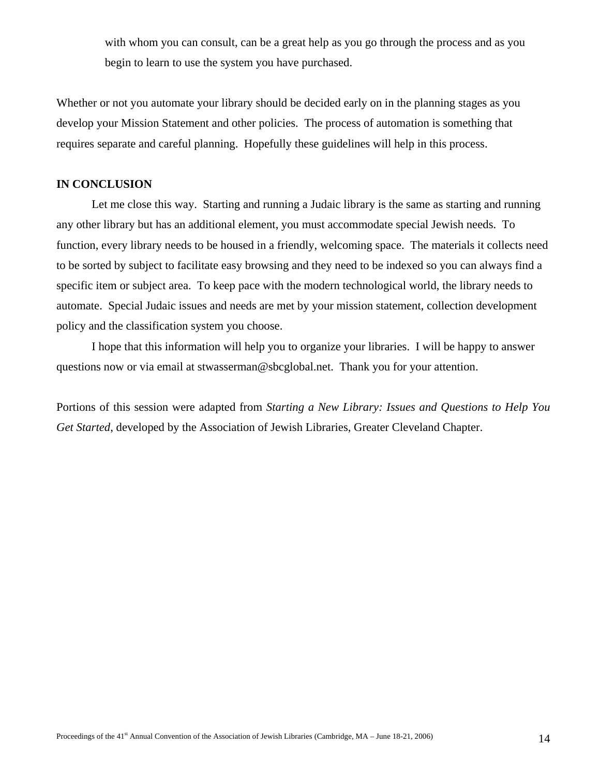with whom you can consult, can be a great help as you go through the process and as you begin to learn to use the system you have purchased.

Whether or not you automate your library should be decided early on in the planning stages as you develop your Mission Statement and other policies. The process of automation is something that requires separate and careful planning. Hopefully these guidelines will help in this process.

# **IN CONCLUSION**

Let me close this way. Starting and running a Judaic library is the same as starting and running any other library but has an additional element, you must accommodate special Jewish needs. To function, every library needs to be housed in a friendly, welcoming space. The materials it collects need to be sorted by subject to facilitate easy browsing and they need to be indexed so you can always find a specific item or subject area. To keep pace with the modern technological world, the library needs to automate. Special Judaic issues and needs are met by your mission statement, collection development policy and the classification system you choose.

 I hope that this information will help you to organize your libraries. I will be happy to answer questions now or via email at stwasserman@sbcglobal.net. Thank you for your attention.

Portions of this session were adapted from *Starting a New Library: Issues and Questions to Help You Get Started*, developed by the Association of Jewish Libraries, Greater Cleveland Chapter.